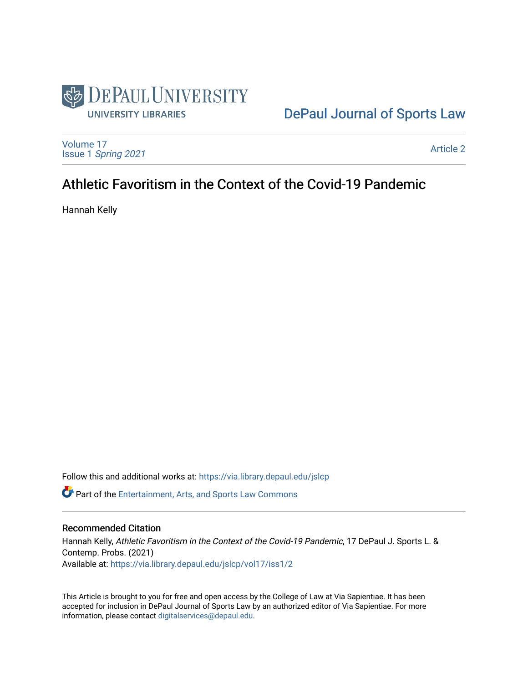

# [DePaul Journal of Sports Law](https://via.library.depaul.edu/jslcp)

[Volume 17](https://via.library.depaul.edu/jslcp/vol17) Issue 1 [Spring 2021](https://via.library.depaul.edu/jslcp/vol17/iss1) 

[Article 2](https://via.library.depaul.edu/jslcp/vol17/iss1/2) 

# Athletic Favoritism in the Context of the Covid-19 Pandemic

Hannah Kelly

Follow this and additional works at: [https://via.library.depaul.edu/jslcp](https://via.library.depaul.edu/jslcp?utm_source=via.library.depaul.edu%2Fjslcp%2Fvol17%2Fiss1%2F2&utm_medium=PDF&utm_campaign=PDFCoverPages)  **C** Part of the [Entertainment, Arts, and Sports Law Commons](http://network.bepress.com/hgg/discipline/893?utm_source=via.library.depaul.edu%2Fjslcp%2Fvol17%2Fiss1%2F2&utm_medium=PDF&utm_campaign=PDFCoverPages)

#### Recommended Citation

Hannah Kelly, Athletic Favoritism in the Context of the Covid-19 Pandemic, 17 DePaul J. Sports L. & Contemp. Probs. (2021) Available at: [https://via.library.depaul.edu/jslcp/vol17/iss1/2](https://via.library.depaul.edu/jslcp/vol17/iss1/2?utm_source=via.library.depaul.edu%2Fjslcp%2Fvol17%2Fiss1%2F2&utm_medium=PDF&utm_campaign=PDFCoverPages) 

This Article is brought to you for free and open access by the College of Law at Via Sapientiae. It has been accepted for inclusion in DePaul Journal of Sports Law by an authorized editor of Via Sapientiae. For more information, please contact [digitalservices@depaul.edu](mailto:digitalservices@depaul.edu).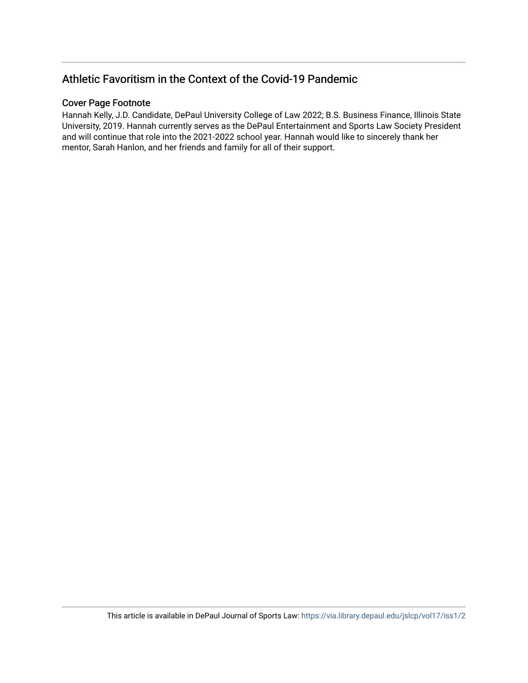# Athletic Favoritism in the Context of the Covid-19 Pandemic

# Cover Page Footnote

Hannah Kelly, J.D. Candidate, DePaul University College of Law 2022; B.S. Business Finance, Illinois State University, 2019. Hannah currently serves as the DePaul Entertainment and Sports Law Society President and will continue that role into the 2021-2022 school year. Hannah would like to sincerely thank her mentor, Sarah Hanlon, and her friends and family for all of their support.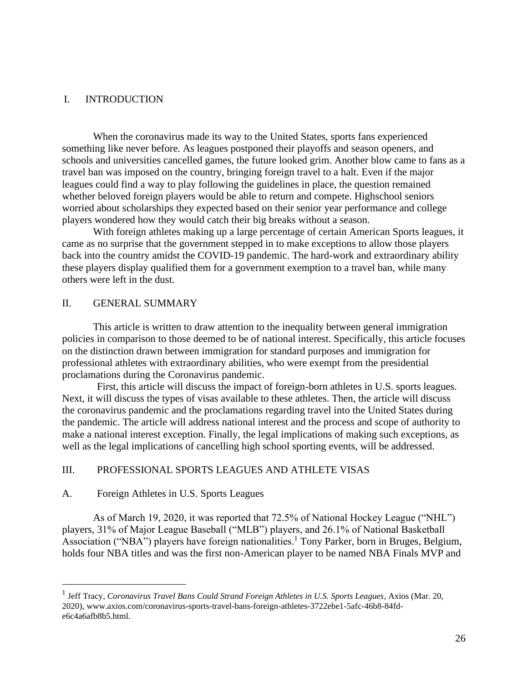# I. INTRODUCTION

When the coronavirus made its way to the United States, sports fans experienced something like never before. As leagues postponed their playoffs and season openers, and schools and universities cancelled games, the future looked grim. Another blow came to fans as a travel ban was imposed on the country, bringing foreign travel to a halt. Even if the major leagues could find a way to play following the guidelines in place, the question remained whether beloved foreign players would be able to return and compete. Highschool seniors worried about scholarships they expected based on their senior year performance and college players wondered how they would catch their big breaks without a season.

With foreign athletes making up a large percentage of certain American Sports leagues, it came as no surprise that the government stepped in to make exceptions to allow those players back into the country amidst the COVID-19 pandemic. The hard-work and extraordinary ability these players display qualified them for a government exemption to a travel ban, while many others were left in the dust.

# II. GENERAL SUMMARY

This article is written to draw attention to the inequality between general immigration policies in comparison to those deemed to be of national interest. Specifically, this article focuses on the distinction drawn between immigration for standard purposes and immigration for professional athletes with extraordinary abilities, who were exempt from the presidential proclamations during the Coronavirus pandemic.

First, this article will discuss the impact of foreign-born athletes in U.S. sports leagues. Next, it will discuss the types of visas available to these athletes. Then, the article will discuss the coronavirus pandemic and the proclamations regarding travel into the United States during the pandemic. The article will address national interest and the process and scope of authority to make a national interest exception. Finally, the legal implications of making such exceptions, as well as the legal implications of cancelling high school sporting events, will be addressed.

# III. PROFESSIONAL SPORTS LEAGUES AND ATHLETE VISAS

### A. Foreign Athletes in U.S. Sports Leagues

As of March 19, 2020, it was reported that 72.5% of National Hockey League ("NHL") players, 31% of Major League Baseball ("MLB") players, and 26.1% of National Basketball Association ("NBA") players have foreign nationalities.<sup>1</sup> Tony Parker, born in Bruges, Belgium, holds four NBA titles and was the first non-American player to be named NBA Finals MVP and

<sup>&</sup>lt;sup>1</sup> Jeff Tracy, *Coronavirus Travel Bans Could Strand Foreign Athletes in U.S. Sports Leagues*, Axios (Mar. 20, 2020), [www.axios.com/coronavirus-sports-travel-bans-foreign-athletes-3722ebe1-5afc-46b8-84fd](http://www.axios.com/coronavirus-sports-travel-bans-foreign-athletes-3722ebe1-5afc-46b8-84fd-e6c4a6afb8b5.html)[e6c4a6afb8b5.html.](http://www.axios.com/coronavirus-sports-travel-bans-foreign-athletes-3722ebe1-5afc-46b8-84fd-e6c4a6afb8b5.html)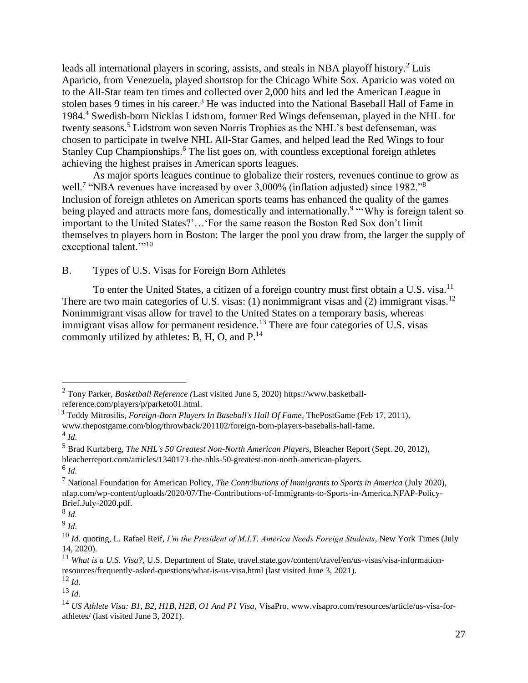leads all international players in scoring, assists, and steals in NBA playoff history.<sup>2</sup> Luis Aparicio, from Venezuela, played shortstop for the Chicago White Sox. Aparicio was voted on to the All-Star team ten times and collected over 2,000 hits and led the American League in stolen bases 9 times in his career.<sup>3</sup> He was inducted into the National Baseball Hall of Fame in 1984.<sup>4</sup> Swedish-born Nicklas Lidstrom, former Red Wings defenseman, played in the NHL for twenty seasons.<sup>5</sup> Lidstrom won seven Norris Trophies as the NHL's best defenseman, was chosen to participate in twelve NHL All-Star Games, and helped lead the Red Wings to four Stanley Cup Championships.<sup>6</sup> The list goes on, with countless exceptional foreign athletes achieving the highest praises in American sports leagues.

As major sports leagues continue to globalize their rosters, revenues continue to grow as well.<sup>7</sup> "NBA revenues have increased by over 3,000% (inflation adjusted) since 1982."<sup>8</sup> Inclusion of foreign athletes on American sports teams has enhanced the quality of the games being played and attracts more fans, domestically and internationally.<sup>9</sup> "Why is foreign talent so important to the United States?'…'For the same reason the Boston Red Sox don't limit themselves to players born in Boston: The larger the pool you draw from, the larger the supply of exceptional talent."<sup>10</sup>

# B. Types of U.S. Visas for Foreign Born Athletes

To enter the United States, a citizen of a foreign country must first obtain a U.S. visa.<sup>11</sup> There are two main categories of U.S. visas: (1) nonimmigrant visas and (2) immigrant visas.<sup>12</sup> Nonimmigrant visas allow for travel to the United States on a temporary basis, whereas immigrant visas allow for permanent residence.<sup>13</sup> There are four categories of U.S. visas commonly utilized by athletes: B, H, O, and  $P^{14}$ .

<sup>2</sup> Tony Parker, *Basketball Reference (*Last visited June 5, 2020) [https://www.basketball](https://www.basketball-reference.com/players/p/parketo01.html)[reference.com/players/p/parketo01.html.](https://www.basketball-reference.com/players/p/parketo01.html)

<sup>3</sup> Teddy Mitrosilis, *Foreign-Born Players In Baseball's Hall Of Fame*, ThePostGame (Feb 17, 2011), [www.thepostgame.com/blog/throwback/201102/foreign-born-players-baseballs-hall-fame.](http://www.thepostgame.com/blog/throwback/201102/foreign-born-players-baseballs-hall-fame)

<sup>4</sup> *Id.*

<sup>5</sup> Brad Kurtzberg, *The NHL's 50 Greatest Non-North American Players*, Bleacher Report (Sept. 20, 2012), [bleacherreport.com/articles/1340173-the-nhls-50-greatest-non-north-american-players.](http://www.thepostgame.com/blog/throwback/201102/foreign-born-players-baseballs-hall-fame) 6 *Id.*

<sup>7</sup> National Foundation for American Policy, *The Contributions of Immigrants to Sports in America* (July 2020), [nfap.com/wp-content/uploads/2020/07/The-Contributions-of-Immigrants-to-Sports-in-America.NFAP-Policy-](http://nfap.com/wp-content/uploads/2020/07/The-Contributions-of-Immigrants-to-Sports-in-America.NFAP-Policy-Brief.July-2020.pdf.)[Brief.July-2020.pdf.](http://nfap.com/wp-content/uploads/2020/07/The-Contributions-of-Immigrants-to-Sports-in-America.NFAP-Policy-Brief.July-2020.pdf.)

<sup>8</sup> *Id.*

<sup>9</sup> *Id.*

<sup>10</sup> *Id.* quoting, L. Rafael Reif, *I'm the President of M.I.T. America Needs Foreign Students*, New York Times (July 14, 2020).

<sup>&</sup>lt;sup>11</sup> *What is a U.S. Visa?*, U.S. Department of State, travel.state.gov/content/travel/en/us-visas/visa-informationresources/frequently-asked-questions/what-is-us-visa.html (last visited June 3, 2021).

<sup>12</sup> *Id.*

<sup>13</sup> *Id.*

<sup>14</sup> *US Athlete Visa: B1, B2, H1B, H2B, O1 And P1 Visa*, VisaPro[, www.visapro.com/resources/article/us-visa-for](http://www.visapro.com/resources/article/us-visa-for-athletes/)[athletes/](http://www.visapro.com/resources/article/us-visa-for-athletes/) (last visited June 3, 2021).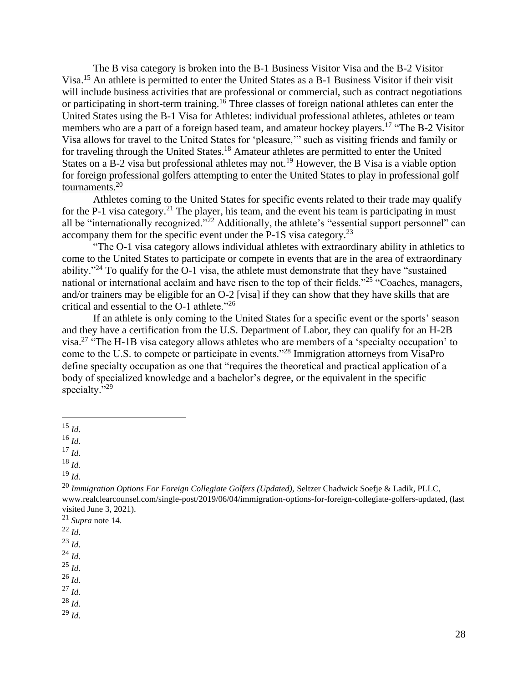The B visa category is broken into the B-1 Business Visitor Visa and the B-2 Visitor Visa.<sup>15</sup> An athlete is permitted to enter the United States as a B-1 Business Visitor if their visit will include business activities that are professional or commercial, such as contract negotiations or participating in short-term training.<sup>16</sup> Three classes of foreign national athletes can enter the United States using the B-1 Visa for Athletes: individual professional athletes, athletes or team members who are a part of a foreign based team, and amateur hockey players.<sup>17</sup> "The B-2 Visitor" Visa allows for travel to the United States for 'pleasure,'" such as visiting friends and family or for traveling through the United States.<sup>18</sup> Amateur athletes are permitted to enter the United States on a B-2 visa but professional athletes may not.<sup>19</sup> However, the B Visa is a viable option for foreign professional golfers attempting to enter the United States to play in professional golf tournaments. $20$ 

Athletes coming to the United States for specific events related to their trade may qualify for the P-1 visa category.<sup>21</sup> The player, his team, and the event his team is participating in must all be "internationally recognized."<sup>22</sup> Additionally, the athlete's "essential support personnel" can accompany them for the specific event under the P-1S visa category.<sup>23</sup>

"The O-1 visa category allows individual athletes with extraordinary ability in athletics to come to the United States to participate or compete in events that are in the area of extraordinary ability."<sup>24</sup> To qualify for the O-1 visa, the athlete must demonstrate that they have "sustained" national or international acclaim and have risen to the top of their fields."<sup>25</sup> "Coaches, managers, and/or trainers may be eligible for an O-2 [visa] if they can show that they have skills that are critical and essential to the O-1 athlete."<sup>26</sup>

If an athlete is only coming to the United States for a specific event or the sports' season and they have a certification from the U.S. Department of Labor, they can qualify for an H-2B visa.<sup>27</sup> "The H-1B visa category allows athletes who are members of a 'specialty occupation' to come to the U.S. to compete or participate in events."<sup>28</sup> Immigration attorneys from VisaPro define specialty occupation as one that "requires the theoretical and practical application of a body of specialized knowledge and a bachelor's degree, or the equivalent in the specific specialty."<sup>29</sup>

 $^{16}$  *Id.* 

<sup>17</sup> *Id.*

<sup>18</sup> *Id.*

<sup>19</sup> *Id.*

<sup>20</sup> *Immigration Options For Foreign Collegiate Golfers (Updated),* Seltzer Chadwick Soefje & Ladik, PLLC, [www.realclearcounsel.com/single-post/2019/06/04/immigration-options-for-foreign-collegiate-golfers-updated,](http://www.realclearcounsel.com/single-post/2019/06/04/immigration-options-for-foreign-collegiate-golfers-updated) (last visited June 3, 2021).

- <sup>24</sup> *Id.*
- <sup>25</sup> *Id.*

<sup>26</sup> *Id.*

<sup>27</sup> *Id.*

<sup>28</sup> *Id.* <sup>29</sup> *Id.*

<sup>15</sup> *Id.*

<sup>21</sup> *Supra* note 14.

 $^{22}$  *Id.* 

<sup>23</sup> *Id.*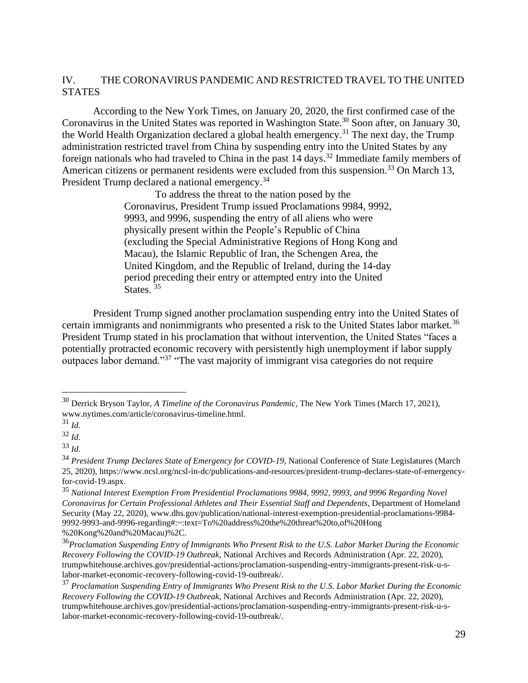# IV. THE CORONAVIRUS PANDEMIC AND RESTRICTED TRAVEL TO THE UNITED **STATES**

According to the New York Times, on January 20, 2020, the first confirmed case of the Coronavirus in the United States was reported in Washington State.<sup>30</sup> Soon after, on January 30, the World Health Organization declared a global health emergency.<sup>31</sup> The next day, the Trump administration restricted travel from China by suspending entry into the United States by any foreign nationals who had traveled to China in the past  $14$  days.<sup>32</sup> Immediate family members of American citizens or permanent residents were excluded from this suspension.<sup>33</sup> On March 13, President Trump declared a national emergency.<sup>34</sup>

> To address the threat to the nation posed by the Coronavirus, President Trump issued Proclamations 9984, 9992, 9993, and 9996, suspending the entry of all aliens who were physically present within the People's Republic of China (excluding the Special Administrative Regions of Hong Kong and Macau), the Islamic Republic of Iran, the Schengen Area, the United Kingdom, and the Republic of Ireland, during the 14-day period preceding their entry or attempted entry into the United States.<sup>35</sup>

President Trump signed another proclamation suspending entry into the United States of certain immigrants and nonimmigrants who presented a risk to the United States labor market.<sup>36</sup> President Trump stated in his proclamation that without intervention, the United States "faces a potentially protracted economic recovery with persistently high unemployment if labor supply outpaces labor demand."<sup>37</sup> "The vast majority of immigrant visa categories do not require

<sup>30</sup> Derrick Bryson Taylor, *A Timeline of the Coronavirus Pandemic*, The New York Times (March 17, 2021), [www.nytimes.com/article/coronavirus-timeline.html.](http://www.thepostgame.com/blog/throwback/201102/foreign-born-players-baseballs-hall-fame)

<sup>31</sup> *Id.*

<sup>32</sup> *Id.*

<sup>33</sup> *Id.*

<sup>&</sup>lt;sup>34</sup> *President Trump Declares State of Emergency for COVID-19*, National Conference of State Legislatures (March 25, 2020), [https://www.ncsl.org/ncsl-in-dc/publications-and-resources/president-trump-declares-state-of-emergency](https://www.ncsl.org/ncsl-in-dc/publications-and-resources/president-trump-declares-state-of-emergency-for-covid-19.aspx)[for-covid-19.aspx.](https://www.ncsl.org/ncsl-in-dc/publications-and-resources/president-trump-declares-state-of-emergency-for-covid-19.aspx)

<sup>35</sup> *National Interest Exemption From Presidential Proclamations 9984, 9992, 9993, and 9996 Regarding Novel Coronavirus for Certain Professional Athletes and Their Essential Staff and Dependents*, Department of Homeland Securit*y* (May 22, 2020)[, www.dhs.gov/publication/national-interest-exemption-presidential-proclamations-9984-](http://www.thepostgame.com/blog/throwback/201102/foreign-born-players-baseballs-hall-fame) [9992-9993-and-9996-regarding#:~:text=To%20address%20the%20threat%20to,of%20Hong](http://www.thepostgame.com/blog/throwback/201102/foreign-born-players-baseballs-hall-fame) %20Kong%20and%20Macau)%2C.

<sup>36</sup>*Proclamation Suspending Entry of Immigrants Who Present Risk to the U.S. Labor Market During the Economic Recovery Following the COVID-19 Outbreak*, National Archives and Records Administration (Apr. 22, 2020), [trumpwhitehouse.archives.gov/presidential-actions/proclamation-suspending-entry-immigrants-present-risk-u-s](http://www.thepostgame.com/blog/throwback/201102/foreign-born-players-baseballs-hall-fame)[labor-market-economic-recovery-following-covid-19-outbreak/.](http://www.thepostgame.com/blog/throwback/201102/foreign-born-players-baseballs-hall-fame)

<sup>37</sup> *Proclamation Suspending Entry of Immigrants Who Present Risk to the U.S. Labor Market During the Economic Recovery Following the COVID-19 Outbreak*, National Archives and Records Administration (Apr. 22, 2020), [trumpwhitehouse.archives.gov/presidential-actions/proclamation-suspending-entry-immigrants-present-risk-u-s](http://www.thepostgame.com/blog/throwback/201102/foreign-born-players-baseballs-hall-fame)[labor-market-economic-recovery-following-covid-19-outbreak/.](http://www.thepostgame.com/blog/throwback/201102/foreign-born-players-baseballs-hall-fame)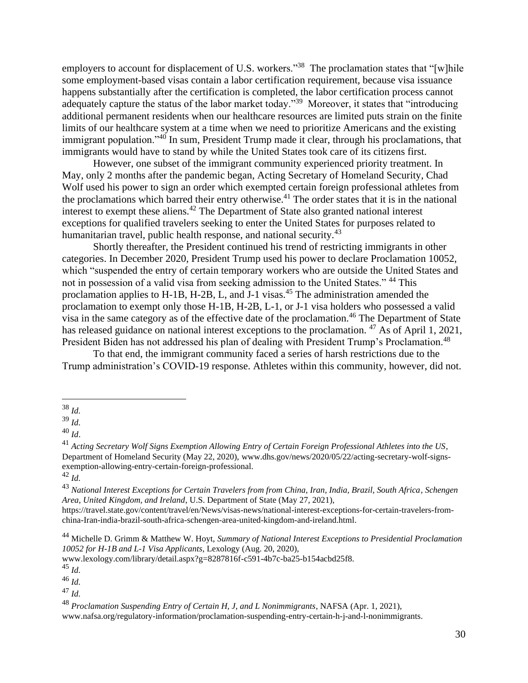employers to account for displacement of U.S. workers."<sup>38</sup> The proclamation states that "[w]hile some employment-based visas contain a labor certification requirement, because visa issuance happens substantially after the certification is completed, the labor certification process cannot adequately capture the status of the labor market today."<sup>39</sup> Moreover, it states that "introducing additional permanent residents when our healthcare resources are limited puts strain on the finite limits of our healthcare system at a time when we need to prioritize Americans and the existing immigrant population."<sup>40</sup> In sum, President Trump made it clear, through his proclamations, that immigrants would have to stand by while the United States took care of its citizens first.

However, one subset of the immigrant community experienced priority treatment. In May, only 2 months after the pandemic began, Acting Secretary of Homeland Security, Chad Wolf used his power to sign an order which exempted certain foreign professional athletes from the proclamations which barred their entry otherwise.<sup>41</sup> The order states that it is in the national interest to exempt these aliens.<sup>42</sup> The Department of State also granted national interest exceptions for qualified travelers seeking to enter the United States for purposes related to humanitarian travel, public health response, and national security.<sup>43</sup>

Shortly thereafter, the President continued his trend of restricting immigrants in other categories. In December 2020, President Trump used his power to declare Proclamation 10052, which "suspended the entry of certain temporary workers who are outside the United States and not in possession of a valid visa from seeking admission to the United States." <sup>44</sup> This proclamation applies to H-1B, H-2B, L, and J-1 visas.<sup>45</sup> The administration amended the proclamation to exempt only those H-1B, H-2B, L-1, or J-1 visa holders who possessed a valid visa in the same category as of the effective date of the proclamation.<sup>46</sup> The Department of State has released guidance on national interest exceptions to the proclamation. <sup>47</sup> As of April 1, 2021, President Biden has not addressed his plan of dealing with President Trump's Proclamation.<sup>48</sup>

To that end, the immigrant community faced a series of harsh restrictions due to the Trump administration's COVID-19 response. Athletes within this community, however, did not.

[www.nafsa.org/regulatory-information/proclamation-suspending-entry-certain-h-j-and-l-nonimmigrants.](http://www.nafsa.org/regulatory-information/proclamation-suspending-entry-certain-h-j-and-l-nonimmigrants)

<sup>38</sup> *Id.*

<sup>39</sup> *Id.*

<sup>40</sup> *Id*.

<sup>41</sup> *Acting Secretary Wolf Signs Exemption Allowing Entry of Certain Foreign Professional Athletes into the US*, Department of Homeland Security (May 22, 2020), [www.dhs.gov/news/2020/05/22/acting-secretary-wolf-signs](http://www.dhs.gov/news/2020/05/22/acting-secretary-wolf-signs-exemption-allowing-entry-certain-foreign-professional)[exemption-allowing-entry-certain-foreign-professional.](http://www.dhs.gov/news/2020/05/22/acting-secretary-wolf-signs-exemption-allowing-entry-certain-foreign-professional)

<sup>42</sup> *Id.*

<sup>43</sup> *National Interest Exceptions for Certain Travelers from from China, Iran, India, Brazil, South Africa, Schengen Area, United Kingdom, and Ireland*, U.S. Department of State (May 27, 2021),

[https://travel.state.gov/content/travel/en/News/visas-news/national-interest-exceptions-for-certain-travelers-from](https://travel.state.gov/content/travel/en/News/visas-news/national-interest-exceptions-for-certain-travelers-from-china-Iran-india-brazil-south-africa-schengen-area-united-kingdom-and-ireland.html)[china-Iran-india-brazil-south-africa-schengen-area-united-kingdom-and-ireland.html.](https://travel.state.gov/content/travel/en/News/visas-news/national-interest-exceptions-for-certain-travelers-from-china-Iran-india-brazil-south-africa-schengen-area-united-kingdom-and-ireland.html)

<sup>44</sup> Michelle D. Grimm & Matthew W. Hoyt, *Summary of National Interest Exceptions to Presidential Proclamation 10052 for H-1B and L-1 Visa Applicants*, Lexology (Aug. 20, 2020),

[www.lexology.com/library/detail.aspx?g=8287816f-c591-4b7c-ba25-b154acbd25f8.](http://www.lexology.com/library/detail.aspx?g=8287816f-c591-4b7c-ba25-b154acbd25f8) 

<sup>45</sup> *Id.*

<sup>46</sup> *Id.*

<sup>47</sup> *Id.*

<sup>48</sup> *Proclamation Suspending Entry of Certain H, J, and L Nonimmigrants*, NAFSA (Apr. 1, 2021),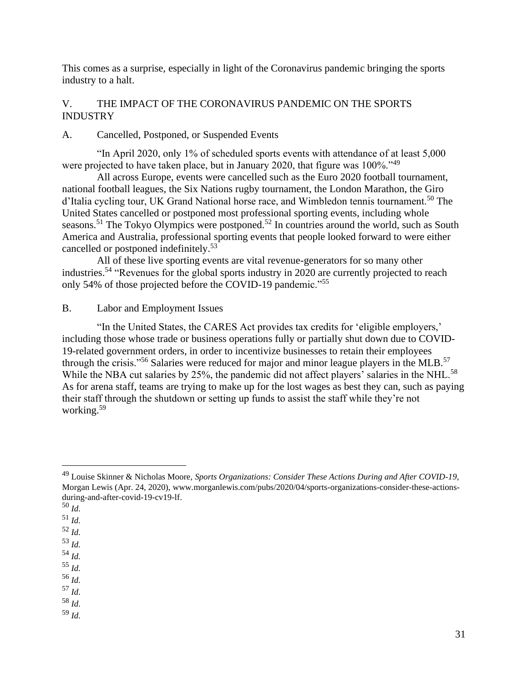This comes as a surprise, especially in light of the Coronavirus pandemic bringing the sports industry to a halt.

# V. THE IMPACT OF THE CORONAVIRUS PANDEMIC ON THE SPORTS INDUSTRY

A. Cancelled, Postponed, or Suspended Events

"In April 2020, only 1% of scheduled sports events with attendance of at least 5,000 were projected to have taken place, but in January 2020, that figure was 100%.<sup>149</sup>

All across Europe, events were cancelled such as the Euro 2020 football tournament, national football leagues, the Six Nations rugby tournament, the London Marathon, the Giro d'Italia cycling tour, UK Grand National horse race, and Wimbledon tennis tournament.<sup>50</sup> The United States cancelled or postponed most professional sporting events, including whole seasons.<sup>51</sup> The Tokyo Olympics were postponed.<sup>52</sup> In countries around the world, such as South America and Australia, professional sporting events that people looked forward to were either cancelled or postponed indefinitely.<sup>53</sup>

All of these live sporting events are vital revenue-generators for so many other industries.<sup>54</sup> "Revenues for the global sports industry in 2020 are currently projected to reach only 54% of those projected before the COVID-19 pandemic."<sup>55</sup>

B. Labor and Employment Issues

"In the United States, the CARES Act provides tax credits for 'eligible employers,' including those whose trade or business operations fully or partially shut down due to COVID-19-related government orders, in order to incentivize businesses to retain their employees through the crisis."<sup>56</sup> Salaries were reduced for major and minor league players in the MLB.<sup>57</sup> While the NBA cut salaries by 25%, the pandemic did not affect players' salaries in the NHL.<sup>58</sup> As for arena staff, teams are trying to make up for the lost wages as best they can, such as paying their staff through the shutdown or setting up funds to assist the staff while they're not working.<sup>59</sup>

<sup>56</sup> *Id.*

<sup>57</sup> *Id.*

<sup>58</sup> *Id.* <sup>59</sup> *Id.*

<sup>49</sup> Louise Skinner & Nicholas Moore, *Sports Organizations: Consider These Actions During and After COVID-19*, Morgan Lewis (Apr. 24, 2020), [www.morganlewis.com/pubs/2020/04/sports-organizations-consider-these-actions](http://www.morganlewis.com/pubs/2020/04/sports-organizations-consider-these-actions-during-and-after-covid-19-cv19-lf.)[during-and-after-covid-19-cv19-lf.](http://www.morganlewis.com/pubs/2020/04/sports-organizations-consider-these-actions-during-and-after-covid-19-cv19-lf.)

<sup>50</sup> *Id.*

<sup>51</sup> *Id.*

<sup>52</sup> *Id.*

<sup>53</sup> *Id.*

<sup>54</sup> *Id.*

<sup>55</sup> *Id.*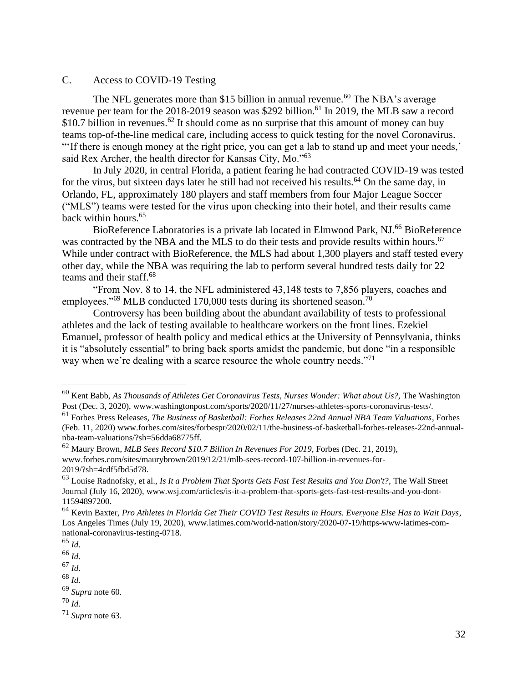### C. Access to COVID-19 Testing

The NFL generates more than \$15 billion in annual revenue.<sup>60</sup> The NBA's average revenue per team for the 2018-2019 season was \$292 billion.<sup>61</sup> In 2019, the MLB saw a record \$10.7 billion in revenues.<sup>62</sup> It should come as no surprise that this amount of money can buy teams top-of-the-line medical care, including access to quick testing for the novel Coronavirus. "If there is enough money at the right price, you can get a lab to stand up and meet your needs,' said Rex Archer, the health director for Kansas City, Mo."<sup>63</sup>

In July 2020, in central Florida, a patient fearing he had contracted COVID-19 was tested for the virus, but sixteen days later he still had not received his results.<sup>64</sup> On the same day, in Orlando, FL, approximately 180 players and staff members from four Major League Soccer ("MLS") teams were tested for the virus upon checking into their hotel, and their results came back within hours.<sup>65</sup>

BioReference Laboratories is a private lab located in Elmwood Park, NJ.<sup>66</sup> BioReference was contracted by the NBA and the MLS to do their tests and provide results within hours.<sup>67</sup> While under contract with BioReference, the MLS had about 1,300 players and staff tested every other day, while the NBA was requiring the lab to perform several hundred tests daily for 22 teams and their staff.<sup>68</sup>

"From Nov. 8 to 14, the NFL administered 43,148 tests to 7,856 players, coaches and employees."<sup>69</sup> MLB conducted 170,000 tests during its shortened season.<sup>70</sup>

Controversy has been building about the abundant availability of tests to professional athletes and the lack of testing available to healthcare workers on the front lines. Ezekiel Emanuel, professor of health policy and medical ethics at the University of Pennsylvania, thinks it is "absolutely essential" to bring back sports amidst the pandemic, but done "in a responsible way when we're dealing with a scarce resource the whole country needs."<sup>71</sup>

<sup>67</sup> *Id.*

<sup>60</sup> Kent Babb, *As Thousands of Athletes Get Coronavirus Tests, Nurses Wonder: What about Us?,* The Washington Post (Dec. 3, 2020)[, www.washingtonpost.com/sports/2020/11/27/nurses-athletes-sports-coronavirus-tests/](http://www.washingtonpost.com/sports/2020/11/27/nurses-athletes-sports-coronavirus-tests).

<sup>61</sup> Forbes Press Releases, *The Business of Basketball: Forbes Releases 22nd Annual NBA Team Valuations*, Forbes (Feb. 11, 2020) [www.forbes.com/sites/forbespr/2020/02/11/the-business-of-basketball-forbes-releases-22nd-annual](http://www.forbes.com/sites/forbespr/2020/02/11/the-business-of-basketball-forbes-releases-22nd-annual-nba-team-valuations/?sh=56dda68775ff)[nba-team-valuations/?sh=56dda68775ff.](http://www.forbes.com/sites/forbespr/2020/02/11/the-business-of-basketball-forbes-releases-22nd-annual-nba-team-valuations/?sh=56dda68775ff)

<sup>62</sup> Maury Brown, *MLB Sees Record \$10.7 Billion In Revenues For 2019*, Forbes (Dec. 21, 2019), [www.forbes.com/sites/maurybrown/2019/12/21/mlb-sees-record-107-billion-in-revenues-for-](http://www.forbes.com/sites/maurybrown/2019/12/21/mlb-sees-record-107-billion-in-revenues-for-2019/?sh=4cdf5fbd5d78)[2019/?sh=4cdf5fbd5d78.](http://www.forbes.com/sites/maurybrown/2019/12/21/mlb-sees-record-107-billion-in-revenues-for-2019/?sh=4cdf5fbd5d78)

<sup>63</sup> Louise Radnofsky, et al., *Is It a Problem That Sports Gets Fast Test Results and You Don't?,* The Wall Street Journal (July 16, 2020), [www.wsj.com/articles/is-it-a-problem-that-sports-gets-fast-test-results-and-you-dont-](http://www.wsj.com/articles/is-it-a-problem-that-sports-gets-fast-test-results-and-you-dont-11594897200)[11594897200.](http://www.wsj.com/articles/is-it-a-problem-that-sports-gets-fast-test-results-and-you-dont-11594897200)

<sup>64</sup> Kevin Baxter, *Pro Athletes in Florida Get Their COVID Test Results in Hours. Everyone Else Has to Wait Days*, Los Angeles Times (July 19, 2020), [www.latimes.com/world-nation/story/2020-07-19/https-www-latimes-com](http://www.latimes.com/world-nation/story/2020-07-19/https-www-latimes-com-national-coronavirus-testing-0718)[national-coronavirus-testing-0718.](http://www.latimes.com/world-nation/story/2020-07-19/https-www-latimes-com-national-coronavirus-testing-0718)

<sup>65</sup> *Id.*

<sup>66</sup> *Id.*

<sup>68</sup> *Id.*

<sup>69</sup> *Supra* note 60.

<sup>71</sup> *Supra* note 63.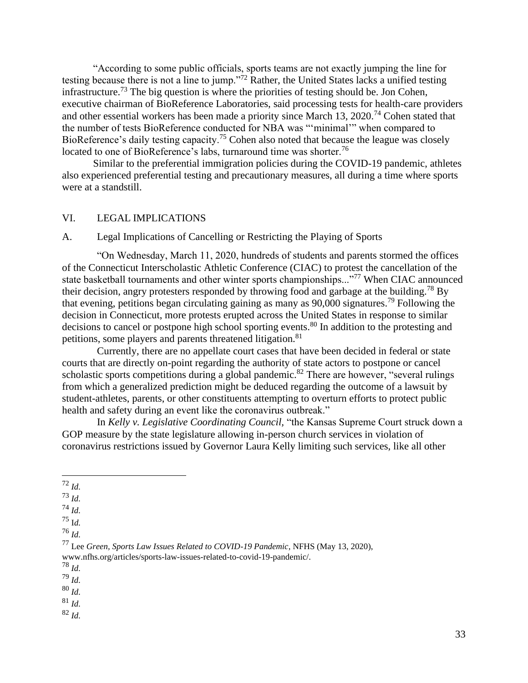"According to some public officials, sports teams are not exactly jumping the line for testing because there is not a line to jump."<sup>72</sup> Rather, the United States lacks a unified testing infrastructure.<sup>73</sup> The big question is where the priorities of testing should be. Jon Cohen, executive chairman of BioReference Laboratories, said processing tests for health-care providers and other essential workers has been made a priority since March 13, 2020.<sup>74</sup> Cohen stated that the number of tests BioReference conducted for NBA was "'minimal'" when compared to BioReference's daily testing capacity.<sup>75</sup> Cohen also noted that because the league was closely located to one of BioReference's labs, turnaround time was shorter.<sup>76</sup>

Similar to the preferential immigration policies during the COVID-19 pandemic, athletes also experienced preferential testing and precautionary measures, all during a time where sports were at a standstill.

### VI. LEGAL IMPLICATIONS

# A. Legal Implications of Cancelling or Restricting the Playing of Sports

"On Wednesday, March 11, 2020, hundreds of students and parents stormed the offices of the Connecticut Interscholastic Athletic Conference (CIAC) to protest the cancellation of the state basketball tournaments and other winter sports championships..."<sup>77</sup> When CIAC announced their decision, angry protesters responded by throwing food and garbage at the building.<sup>78</sup> By that evening, petitions began circulating gaining as many as 90,000 signatures. <sup>79</sup> Following the decision in Connecticut, more protests erupted across the United States in response to similar decisions to cancel or postpone high school sporting events.<sup>80</sup> In addition to the protesting and petitions, some players and parents threatened litigation.<sup>81</sup>

Currently, there are no appellate court cases that have been decided in federal or state courts that are directly on-point regarding the authority of state actors to postpone or cancel scholastic sports competitions during a global pandemic.<sup>82</sup> There are however, "several rulings" from which a generalized prediction might be deduced regarding the outcome of a lawsuit by student-athletes, parents, or other constituents attempting to overturn efforts to protect public health and safety during an event like the coronavirus outbreak."

In *Kelly v. Legislative Coordinating Council,* "the Kansas Supreme Court struck down a GOP measure by the state legislature allowing in-person church services in violation of coronavirus restrictions issued by Governor Laura Kelly limiting such services, like all other

<sup>78</sup> *Id.*

<sup>79</sup> *Id.*

<sup>80</sup> *Id.*

<sup>81</sup> *Id.*

<sup>72</sup> *Id.*

<sup>73</sup> *Id.*

<sup>74</sup> *Id.*

<sup>75</sup> I*d.*

<sup>76</sup> *Id.*

<sup>77</sup> Lee *Green, Sports Law Issues Related to COVID-19 Pandemic*, NFHS (May 13, 2020), [www.nfhs.org/articles/sports-law-issues-related-to-covid-19-pandemic/.](http://www.nfhs.org/articles/sports-law-issues-related-to-covid-19-pandemic/)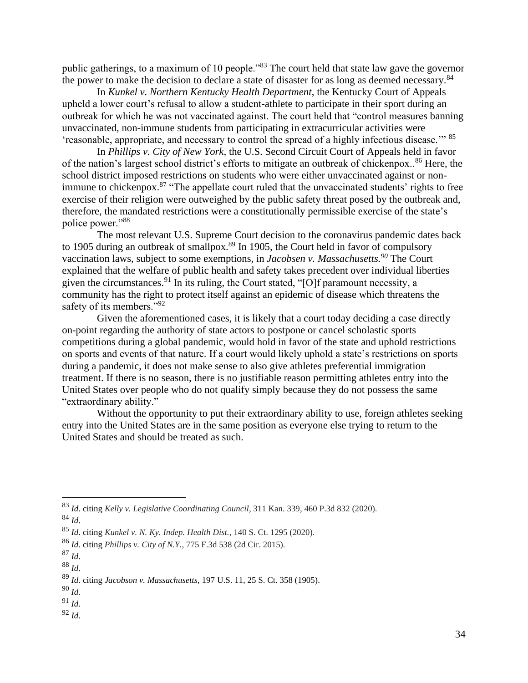public gatherings, to a maximum of 10 people."<sup>83</sup> The court held that state law gave the governor the power to make the decision to declare a state of disaster for as long as deemed necessary.<sup>84</sup>

In *Kunkel v. Northern Kentucky Health Department*, the Kentucky Court of Appeals upheld a lower court's refusal to allow a student-athlete to participate in their sport during an outbreak for which he was not vaccinated against. The court held that "control measures banning unvaccinated, non-immune students from participating in extracurricular activities were 'reasonable, appropriate, and necessary to control the spread of a highly infectious disease.'" <sup>85</sup>

In *Phillips v. City of New York*, the U.S. Second Circuit Court of Appeals held in favor of the nation's largest school district's efforts to mitigate an outbreak of chickenpox..<sup>86</sup> Here, the school district imposed restrictions on students who were either unvaccinated against or nonimmune to chickenpox.<sup>87</sup> "The appellate court ruled that the unvaccinated students' rights to free exercise of their religion were outweighed by the public safety threat posed by the outbreak and, therefore, the mandated restrictions were a constitutionally permissible exercise of the state's police power."<sup>88</sup>

The most relevant U.S. Supreme Court decision to the coronavirus pandemic dates back to 1905 during an outbreak of smallpox.<sup>89</sup> In 1905, the Court held in favor of compulsory vaccination laws, subject to some exemptions, in *Jacobsen v. Massachusetts.<sup>90</sup>* The Court explained that the welfare of public health and safety takes precedent over individual liberties given the circumstances.<sup>91</sup> In its ruling, the Court stated, " $[O]$ f paramount necessity, a community has the right to protect itself against an epidemic of disease which threatens the safety of its members."<sup>92</sup>

Given the aforementioned cases, it is likely that a court today deciding a case directly on-point regarding the authority of state actors to postpone or cancel scholastic sports competitions during a global pandemic, would hold in favor of the state and uphold restrictions on sports and events of that nature. If a court would likely uphold a state's restrictions on sports during a pandemic, it does not make sense to also give athletes preferential immigration treatment. If there is no season, there is no justifiable reason permitting athletes entry into the United States over people who do not qualify simply because they do not possess the same "extraordinary ability."

Without the opportunity to put their extraordinary ability to use, foreign athletes seeking entry into the United States are in the same position as everyone else trying to return to the United States and should be treated as such.

<sup>83</sup> *Id.* citing *Kelly v. Legislative Coordinating Council*, 311 Kan. 339, 460 P.3d 832 (2020).

<sup>84</sup> *Id.*

<sup>85</sup> *Id.* citing *Kunkel v. N. Ky. Indep. Health Dist.*, 140 S. Ct. 1295 (2020).

<sup>86</sup> *Id.* citing *Phillips v. City of N.Y.*, 775 F.3d 538 (2d Cir. 2015).

 $^{87}$  *Id.* 

<sup>88</sup> *Id.*

<sup>89</sup> *Id.* citing *Jacobson v. Massachusetts*, 197 U.S. 11, 25 S. Ct. 358 (1905).

<sup>90</sup> *Id.*

<sup>92</sup> *Id.*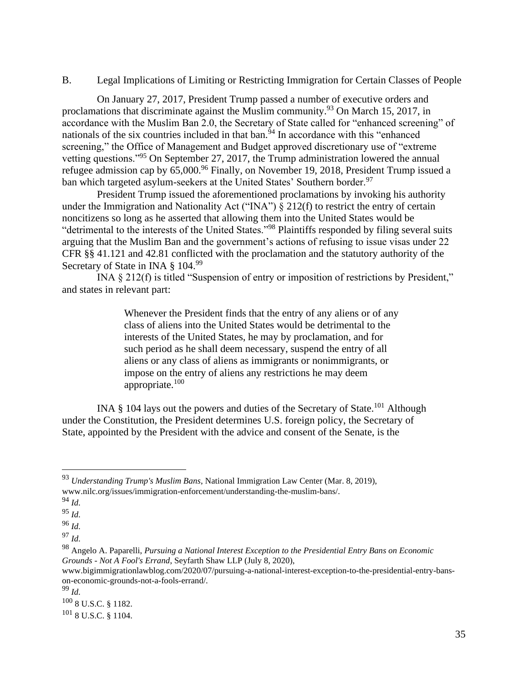### B. Legal Implications of Limiting or Restricting Immigration for Certain Classes of People

On January 27, 2017, President Trump passed a number of executive orders and proclamations that discriminate against the Muslim community.<sup>93</sup> On March 15, 2017, in accordance with the Muslim Ban 2.0, the Secretary of State called for "enhanced screening" of nationals of the six countries included in that ban.<sup> $54$ </sup> In accordance with this "enhanced screening," the Office of Management and Budget approved discretionary use of "extreme" vetting questions."<sup>95</sup> On September 27, 2017, the Trump administration lowered the annual refugee admission cap by  $65,000^{96}$  Finally, on November 19, 2018, President Trump issued a ban which targeted asylum-seekers at the United States' Southern border.<sup>97</sup>

President Trump issued the aforementioned proclamations by invoking his authority under the Immigration and Nationality Act ("INA")  $\S 212(f)$  to restrict the entry of certain noncitizens so long as he asserted that allowing them into the United States would be "detrimental to the interests of the United States."<sup>98</sup> Plaintiffs responded by filing several suits arguing that the Muslim Ban and the government's actions of refusing to issue visas under 22 CFR §§ 41.121 and 42.81 conflicted with the proclamation and the statutory authority of the Secretary of State in INA § 104.99

INA § 212(f) is titled "Suspension of entry or imposition of restrictions by President," and states in relevant part:

> Whenever the President finds that the entry of any aliens or of any class of aliens into the United States would be detrimental to the interests of the United States, he may by proclamation, and for such period as he shall deem necessary, suspend the entry of all aliens or any class of aliens as immigrants or nonimmigrants, or impose on the entry of aliens any restrictions he may deem appropriate.<sup>100</sup>

INA  $\S$  104 lays out the powers and duties of the Secretary of State.<sup>101</sup> Although under the Constitution, the President determines U.S. foreign policy, the Secretary of State, appointed by the President with the advice and consent of the Senate, is the

<sup>93</sup> *Understanding Trump's Muslim Bans*, National Immigration Law Center (Mar. 8, 2019), [www.nilc.org/issues/immigration-enforcement/understanding-the-muslim-bans/.](http://www.nilc.org/issues/immigration-enforcement/understanding-the-muslim-bans/)

<sup>95</sup> *Id.*

<sup>96</sup> *Id.*

<sup>97</sup> *Id.*

<sup>98</sup> Angelo A. Paparelli, *Pursuing a National Interest Exception to the Presidential Entry Bans on Economic Grounds - Not A Fool's Errand*, Seyfarth Shaw LLP (July 8, 2020),

[www.bigimmigrationlawblog.com/2020/07/pursuing-a-national-interest-exception-to-the-presidential-entry-bans](http://www.bigimmigrationlawblog.com/2020/07/pursuing-a-national-interest-exception-to-the-presidential-entry-bans-on-economic-grounds-not-a-fools-errand/)[on-economic-grounds-not-a-fools-errand/.](http://www.bigimmigrationlawblog.com/2020/07/pursuing-a-national-interest-exception-to-the-presidential-entry-bans-on-economic-grounds-not-a-fools-errand/)

<sup>99</sup> *Id.*

<sup>100</sup> 8 U.S.C. § 1182.

 $101$  8 U.S.C. § 1104.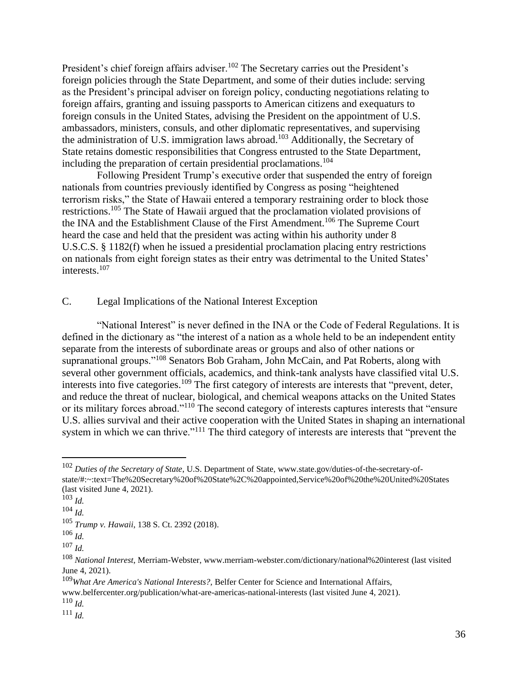President's chief foreign affairs adviser.<sup>102</sup> The Secretary carries out the President's foreign policies through the State Department, and some of their duties include: serving as the President's principal adviser on foreign policy, conducting negotiations relating to foreign affairs, granting and issuing passports to American citizens and exequaturs to foreign consuls in the United States, advising the President on the appointment of U.S. ambassadors, ministers, consuls, and other diplomatic representatives, and supervising the administration of U.S. immigration laws abroad.<sup>103</sup> Additionally, the Secretary of State retains domestic responsibilities that Congress entrusted to the State Department, including the preparation of certain presidential proclamations.<sup>104</sup>

Following President Trump's executive order that suspended the entry of foreign nationals from countries previously identified by Congress as posing "heightened terrorism risks," the State of Hawaii entered a temporary restraining order to block those restrictions.<sup>105</sup> The State of Hawaii argued that the proclamation violated provisions of the INA and the Establishment Clause of the First Amendment.<sup>106</sup> The Supreme Court heard the case and held that the president was acting within his authority under 8 U.S.C.S. § 1182(f) when he issued a presidential proclamation placing entry restrictions on nationals from eight foreign states as their entry was detrimental to the United States' interests.<sup>107</sup>

# C. Legal Implications of the National Interest Exception

"National Interest" is never defined in the INA or the Code of Federal Regulations. It is defined in the dictionary as "the interest of a nation as a whole held to be an independent entity separate from the interests of subordinate areas or groups and also of other nations or supranational groups."<sup>108</sup> Senators Bob Graham, John McCain, and Pat Roberts, along with several other government officials, academics, and think-tank analysts have classified vital U.S. interests into five categories.<sup>109</sup> The first category of interests are interests that "prevent, deter, and reduce the threat of nuclear, biological, and chemical weapons attacks on the United States or its military forces abroad."<sup>110</sup> The second category of interests captures interests that "ensure U.S. allies survival and their active cooperation with the United States in shaping an international system in which we can thrive."<sup>111</sup> The third category of interests are interests that "prevent the

<sup>110</sup> *Id.*

<sup>102</sup> *Duties of the Secretary of State*, U.S. Department of State, [www.state.gov/duties-of-the-secretary-of](http://www.state.gov/duties-of-the-secretary-of-state/#:~:text=The%20Secretary%20of%20State%2C%20appointed,Service%20of%20the%20United%20States)[state/#:~:text=The%20Secretary%20of%20State%2C%20appointed,Service%20of%20the%20United%20States](http://www.state.gov/duties-of-the-secretary-of-state/#:~:text=The%20Secretary%20of%20State%2C%20appointed,Service%20of%20the%20United%20States) (last visited June 4, 2021).

<sup>103</sup> *Id.*

<sup>104</sup> *Id.*

<sup>105</sup> *Trump v. Hawaii*, 138 S. Ct. 2392 (2018).

 $106$  *Id.* 

 $107$  *Id.* 

<sup>108</sup> *National Interest*, Merriam-Webster, [www.merriam-webster.com/dictionary/national%20interest](http://www.merriam-webster.com/dictionary/national%20interest) (last visited June 4, 2021).

<sup>109</sup>*What Are America's National Interests?,* Belfer Center for Science and International Affairs,

[www.belfercenter.org/publication/what-are-americas-national-interests](http://www.belfercenter.org/publication/what-are-americas-national-interests) (last visited June 4, 2021).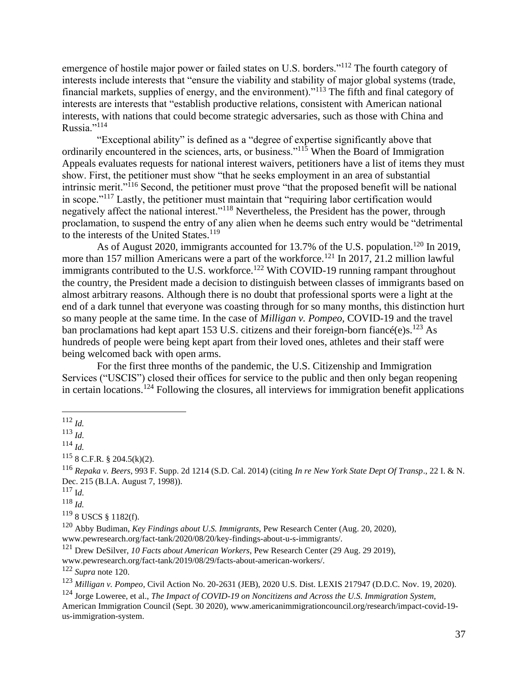emergence of hostile major power or failed states on U.S. borders."<sup>112</sup> The fourth category of interests include interests that "ensure the viability and stability of major global systems (trade, financial markets, supplies of energy, and the environment)."<sup>113</sup> The fifth and final category of interests are interests that "establish productive relations, consistent with American national interests, with nations that could become strategic adversaries, such as those with China and Russia."<sup>114</sup>

"Exceptional ability" is defined as a "degree of expertise significantly above that ordinarily encountered in the sciences, arts, or business."<sup>115</sup> When the Board of Immigration Appeals evaluates requests for national interest waivers, petitioners have a list of items they must show. First, the petitioner must show "that he seeks employment in an area of substantial intrinsic merit."<sup>116</sup> Second, the petitioner must prove "that the proposed benefit will be national in scope."<sup>117</sup> Lastly, the petitioner must maintain that "requiring labor certification would negatively affect the national interest."<sup>118</sup> Nevertheless, the President has the power, through proclamation, to suspend the entry of any alien when he deems such entry would be "detrimental to the interests of the United States.<sup>119</sup>

As of August 2020, immigrants accounted for 13.7% of the U.S. population.<sup>120</sup> In 2019, more than 157 million Americans were a part of the workforce.<sup>121</sup> In 2017, 21.2 million lawful immigrants contributed to the U.S. workforce.<sup>122</sup> With COVID-19 running rampant throughout the country, the President made a decision to distinguish between classes of immigrants based on almost arbitrary reasons. Although there is no doubt that professional sports were a light at the end of a dark tunnel that everyone was coasting through for so many months, this distinction hurt so many people at the same time. In the case of *Milligan v. Pompeo,* COVID-19 and the travel ban proclamations had kept apart 153 U.S. citizens and their foreign-born fiancé(e)s.<sup>123</sup> As hundreds of people were being kept apart from their loved ones, athletes and their staff were being welcomed back with open arms.

For the first three months of the pandemic, the U.S. Citizenship and Immigration Services ("USCIS") closed their offices for service to the public and then only began reopening in certain locations.<sup>124</sup> Following the closures, all interviews for immigration benefit applications

<sup>113</sup> *Id.*

<sup>114</sup> *Id.*

 $115$  8 C.F.R. § 204.5(k)(2).

<sup>116</sup> *Repaka v. Beers*, 993 F. Supp. 2d 1214 (S.D. Cal. 2014) (citing *In re New York State Dept Of Transp*., 22 I. & N. Dec. 215 (B.I.A. August 7, 1998)).

<sup>117</sup> I*d.*

<sup>118</sup> *Id.*

<sup>119</sup> 8 USCS § 1182(f).

<sup>120</sup> Abby Budiman, *Key Findings about U.S. Immigrants,* Pew Research Center (Aug. 20, 2020),

[www.pewresearch.org/fact-tank/2020/08/20/key-findings-about-u-s-immigrants/](http://www.pewresearch.org/fact-tank/2020/08/20/key-findings-about-u-s-immigrants).

<sup>121</sup> Drew DeSilver, *10 Facts about American Workers*, Pew Research Center (29 Aug. 29 2019),

[www.pewresearch.org/fact-tank/2019/08/29/facts-about-american-workers/](http://www.pewresearch.org/fact-tank/2019/08/29/facts-about-american-workers).

<sup>122</sup> *Supra* note 120.

<sup>123</sup> *Milligan v. Pompeo*, Civil Action No. 20-2631 (JEB), 2020 U.S. Dist. LEXIS 217947 (D.D.C. Nov. 19, 2020).

<sup>124</sup> Jorge Loweree, et al., *The Impact of COVID-19 on Noncitizens and Across the U.S. Immigration System,* American Immigration Council (Sept. 30 2020), [www.americanimmigrationcouncil.org/research/impact-covid-19](http://www.americanimmigrationcouncil.org/research/impact-covid-19-us-immigration-system) [us-immigration-system.](http://www.americanimmigrationcouncil.org/research/impact-covid-19-us-immigration-system)

<sup>112</sup> *Id.*